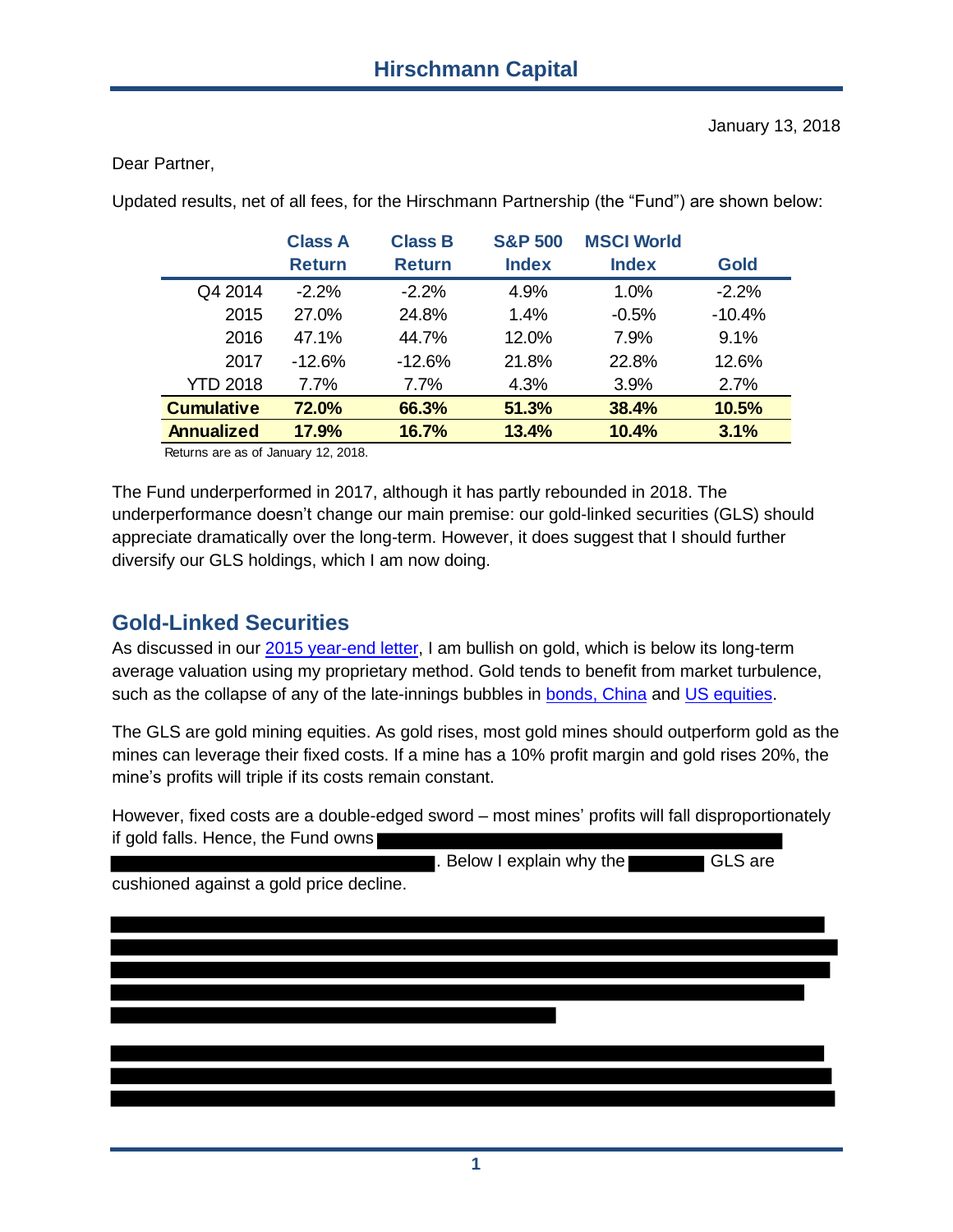Dear Partner,

|                   | <b>Class A</b><br><b>Return</b> | <b>Class B</b><br><b>Return</b> | <b>S&amp;P 500</b><br><b>Index</b> | <b>MSCI World</b><br><b>Index</b> | <b>Gold</b> |
|-------------------|---------------------------------|---------------------------------|------------------------------------|-----------------------------------|-------------|
| Q4 2014           | $-2.2%$                         | $-2.2%$                         | 4.9%                               | 1.0%                              | $-2.2%$     |
| 2015              | 27.0%                           | 24.8%                           | 1.4%                               | $-0.5%$                           | $-10.4%$    |
| 2016              | 47.1%                           | 44.7%                           | 12.0%                              | 7.9%                              | 9.1%        |
| 2017              | $-12.6%$                        | $-12.6%$                        | 21.8%                              | 22.8%                             | 12.6%       |
| <b>YTD 2018</b>   | $7.7\%$                         | $7.7\%$                         | 4.3%                               | 3.9%                              | 2.7%        |
| <b>Cumulative</b> | 72.0%                           | 66.3%                           | 51.3%                              | 38.4%                             | 10.5%       |
| <b>Annualized</b> | 17.9%                           | 16.7%                           | 13.4%                              | 10.4%                             | 3.1%        |

Updated results, net of all fees, for the Hirschmann Partnership (the "Fund") are shown below:

Returns are as of January 12, 2018.

The Fund underperformed in 2017, although it has partly rebounded in 2018. The underperformance doesn't change our main premise: our gold-linked securities (GLS) should appreciate dramatically over the long-term. However, it does suggest that I should further diversify our GLS holdings, which I am now doing.

## **Gold-Linked Securities**

As discussed in our [2015 year-end letter,](https://docs.wixstatic.com/ugd/dc7287_61f26134ac4d43f29824f0899737942c.pdf) I am bullish on gold, which is below its long-term average valuation using my proprietary method. Gold tends to benefit from market turbulence, such as the collapse of any of the late-innings bubbles in [bonds, China](https://docs.wixstatic.com/ugd/dc7287_b48207f22a234219af878f64709add96.pdf) and [US equities.](https://docs.wixstatic.com/ugd/dc7287_0b510603694043fca0b80f7eeb59d776.pdf)

The GLS are gold mining equities. As gold rises, most gold mines should outperform gold as the mines can leverage their fixed costs. If a mine has a 10% profit margin and gold rises 20%, the mine's profits will triple if its costs remain constant.

However, fixed costs are a double-edged sword – most mines' profits will fall disproportionately if gold falls. Hence, the Fund owns

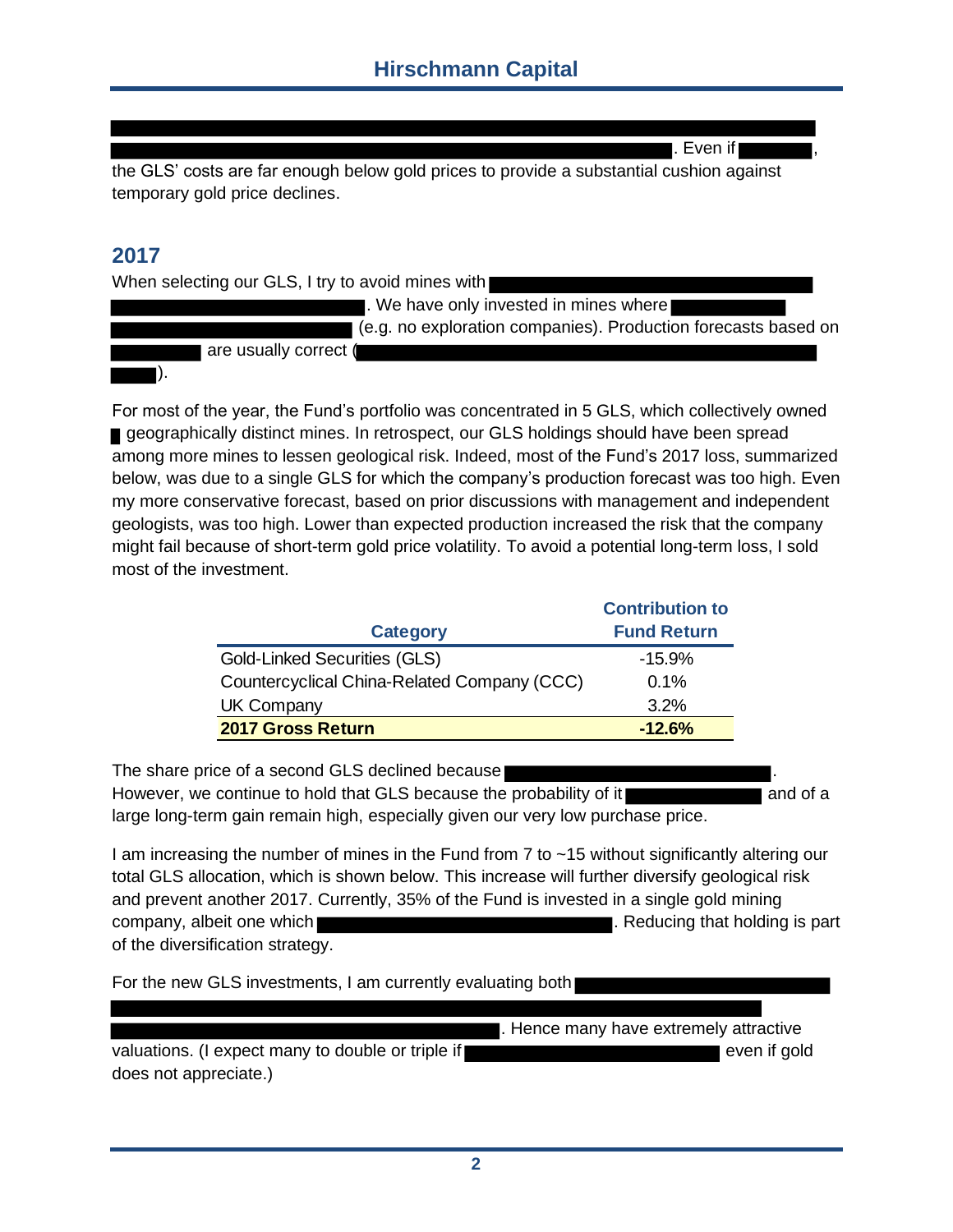l. Even if l

the GLS' costs are far enough below gold prices to provide a substantial cushion against temporary gold price declines.

#### **2017**

When selecting our GLS, I try to avoid mines with

. We have only invested in mines where (e.g. no exploration companies). Production forecasts based on

 are usually correct ( ).

For most of the year, the Fund's portfolio was concentrated in 5 GLS, which collectively owned geographically distinct mines. In retrospect, our GLS holdings should have been spread among more mines to lessen geological risk. Indeed, most of the Fund's 2017 loss, summarized below, was due to a single GLS for which the company's production forecast was too high. Even my more conservative forecast, based on prior discussions with management and independent geologists, was too high. Lower than expected production increased the risk that the company might fail because of short-term gold price volatility. To avoid a potential long-term loss, I sold most of the investment.

|                                             | <b>Contribution to</b> |
|---------------------------------------------|------------------------|
| <b>Category</b>                             | <b>Fund Return</b>     |
| <b>Gold-Linked Securities (GLS)</b>         | $-15.9%$               |
| Countercyclical China-Related Company (CCC) | 0.1%                   |
| <b>UK Company</b>                           | 3.2%                   |
| 2017 Gross Return                           | $-12.6%$               |

The share price of a second GLS declined because However, we continue to hold that GLS because the probability of it **and all and of a**nd of a large long-term gain remain high, especially given our very low purchase price.

I am increasing the number of mines in the Fund from 7 to ~15 without significantly altering our total GLS allocation, which is shown below. This increase will further diversify geological risk and prevent another 2017. Currently, 35% of the Fund is invested in a single gold mining company, albeit one which **the company**. Reducing that holding is part of the diversification strategy.

For the new GLS investments, I am currently evaluating both

. Hence many have extremely attractive

valuations. (I expect many to double or triple if even if gold even if gold does not appreciate.)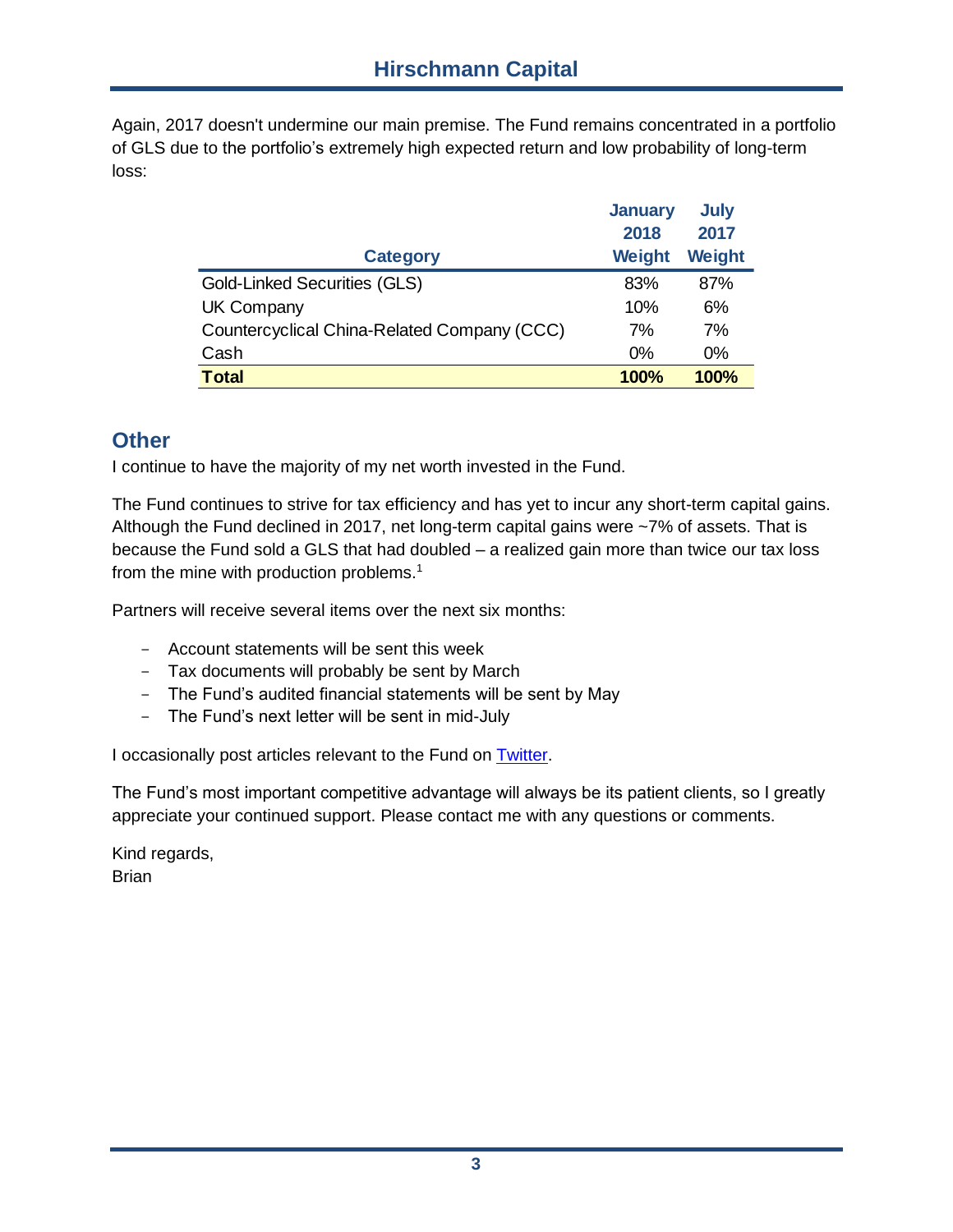Again, 2017 doesn't undermine our main premise. The Fund remains concentrated in a portfolio of GLS due to the portfolio's extremely high expected return and low probability of long-term loss:

|                                             | <b>January</b> | <b>July</b> |
|---------------------------------------------|----------------|-------------|
|                                             | 2018           | 2017        |
| <b>Category</b>                             | <b>Weight</b>  | Weight      |
| <b>Gold-Linked Securities (GLS)</b>         | 83%            | 87%         |
| <b>UK Company</b>                           | 10%            | 6%          |
| Countercyclical China-Related Company (CCC) | 7%             | 7%          |
| Cash                                        | $0\%$          | $0\%$       |
| <b>Total</b>                                | 100%           | 100%        |

### **Other**

I continue to have the majority of my net worth invested in the Fund.

The Fund continues to strive for tax efficiency and has yet to incur any short-term capital gains. Although the Fund declined in 2017, net long-term capital gains were ~7% of assets. That is because the Fund sold a GLS that had doubled – a realized gain more than twice our tax loss from the mine with production problems.<sup>1</sup>

Partners will receive several items over the next six months:

- Account statements will be sent this week
- Tax documents will probably be sent by March
- The Fund's audited financial statements will be sent by May
- The Fund's next letter will be sent in mid-July

I occasionally post articles relevant to the Fund on [Twitter.](https://twitter.com/bbhirschmann)

The Fund's most important competitive advantage will always be its patient clients, so I greatly appreciate your continued support. Please contact me with any questions or comments.

Kind regards, **Brian**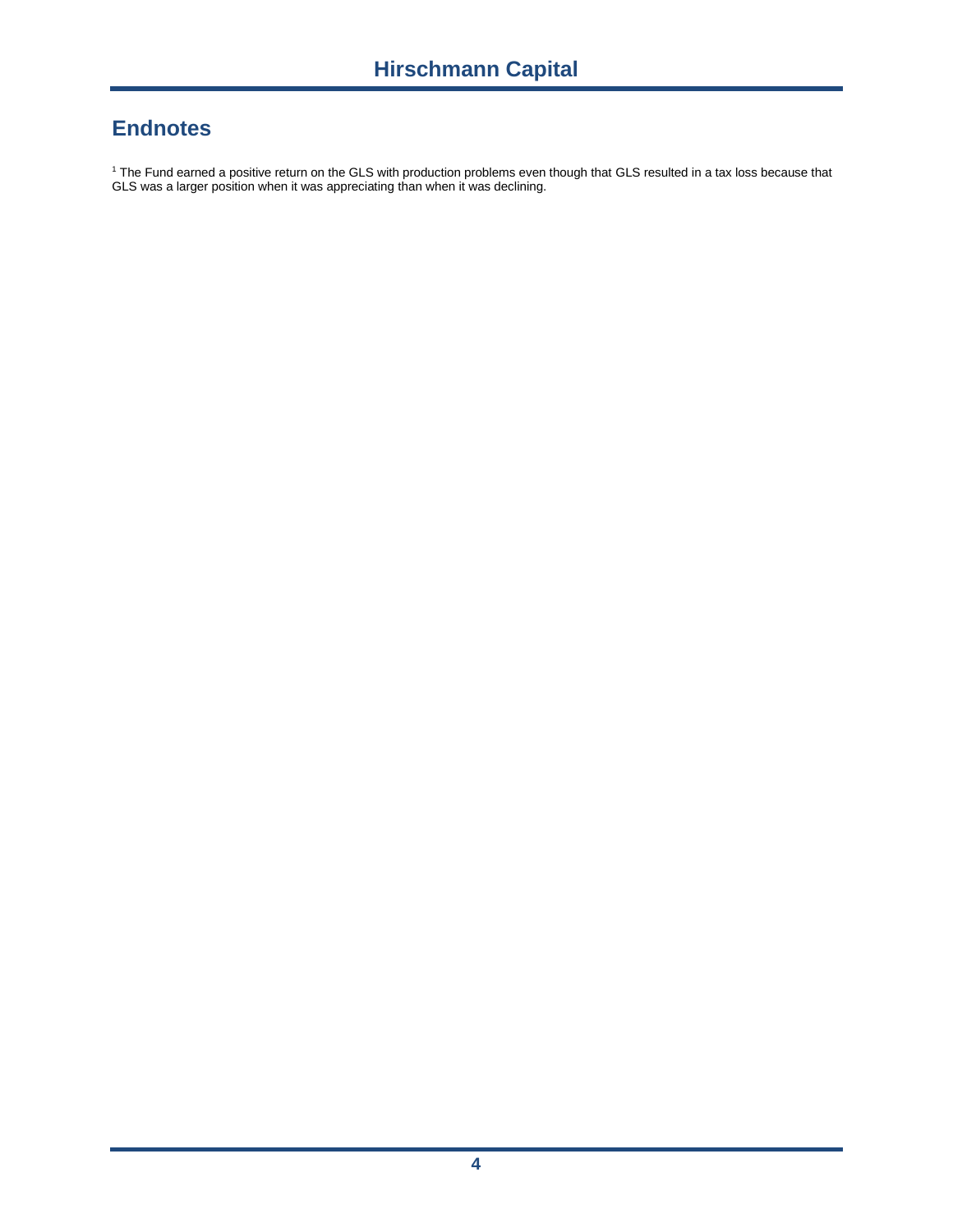# **Endnotes**

<sup>1</sup> The Fund earned a positive return on the GLS with production problems even though that GLS resulted in a tax loss because that GLS was a larger position when it was appreciating than when it was declining.